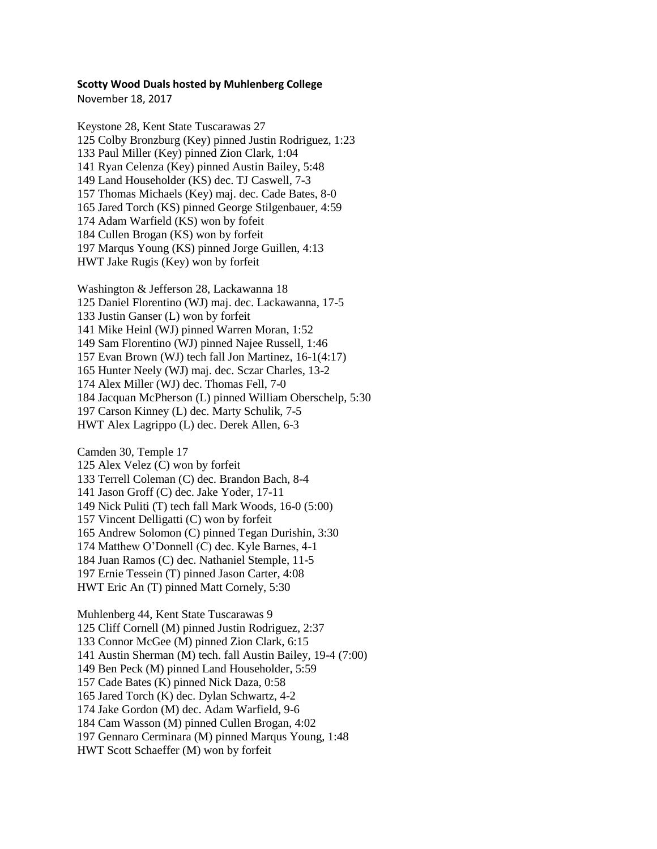## **Scotty Wood Duals hosted by Muhlenberg College**

November 18, 2017

Keystone 28, Kent State Tuscarawas 27 Colby Bronzburg (Key) pinned Justin Rodriguez, 1:23 Paul Miller (Key) pinned Zion Clark, 1:04 Ryan Celenza (Key) pinned Austin Bailey, 5:48 Land Householder (KS) dec. TJ Caswell, 7-3 Thomas Michaels (Key) maj. dec. Cade Bates, 8-0 Jared Torch (KS) pinned George Stilgenbauer, 4:59 Adam Warfield (KS) won by fofeit 184 Cullen Brogan (KS) won by forfeit Marqus Young (KS) pinned Jorge Guillen, 4:13 HWT Jake Rugis (Key) won by forfeit

Washington & Jefferson 28, Lackawanna 18 Daniel Florentino (WJ) maj. dec. Lackawanna, 17-5 Justin Ganser (L) won by forfeit Mike Heinl (WJ) pinned Warren Moran, 1:52 Sam Florentino (WJ) pinned Najee Russell, 1:46 Evan Brown (WJ) tech fall Jon Martinez, 16-1(4:17) Hunter Neely (WJ) maj. dec. Sczar Charles, 13-2 Alex Miller (WJ) dec. Thomas Fell, 7-0 184 Jacquan McPherson (L) pinned William Oberschelp, 5:30 Carson Kinney (L) dec. Marty Schulik, 7-5 HWT Alex Lagrippo (L) dec. Derek Allen, 6-3

Camden 30, Temple 17 Alex Velez (C) won by forfeit Terrell Coleman (C) dec. Brandon Bach, 8-4 Jason Groff (C) dec. Jake Yoder, 17-11 Nick Puliti (T) tech fall Mark Woods, 16-0 (5:00) Vincent Delligatti (C) won by forfeit Andrew Solomon (C) pinned Tegan Durishin, 3:30 Matthew O'Donnell (C) dec. Kyle Barnes, 4-1 184 Juan Ramos (C) dec. Nathaniel Stemple, 11-5 Ernie Tessein (T) pinned Jason Carter, 4:08 HWT Eric An (T) pinned Matt Cornely, 5:30

Muhlenberg 44, Kent State Tuscarawas 9 Cliff Cornell (M) pinned Justin Rodriguez, 2:37 Connor McGee (M) pinned Zion Clark, 6:15 141 Austin Sherman (M) tech. fall Austin Bailey, 19-4 (7:00) Ben Peck (M) pinned Land Householder, 5:59 Cade Bates (K) pinned Nick Daza, 0:58 Jared Torch (K) dec. Dylan Schwartz, 4-2 Jake Gordon (M) dec. Adam Warfield, 9-6 Cam Wasson (M) pinned Cullen Brogan, 4:02 Gennaro Cerminara (M) pinned Marqus Young, 1:48 HWT Scott Schaeffer (M) won by forfeit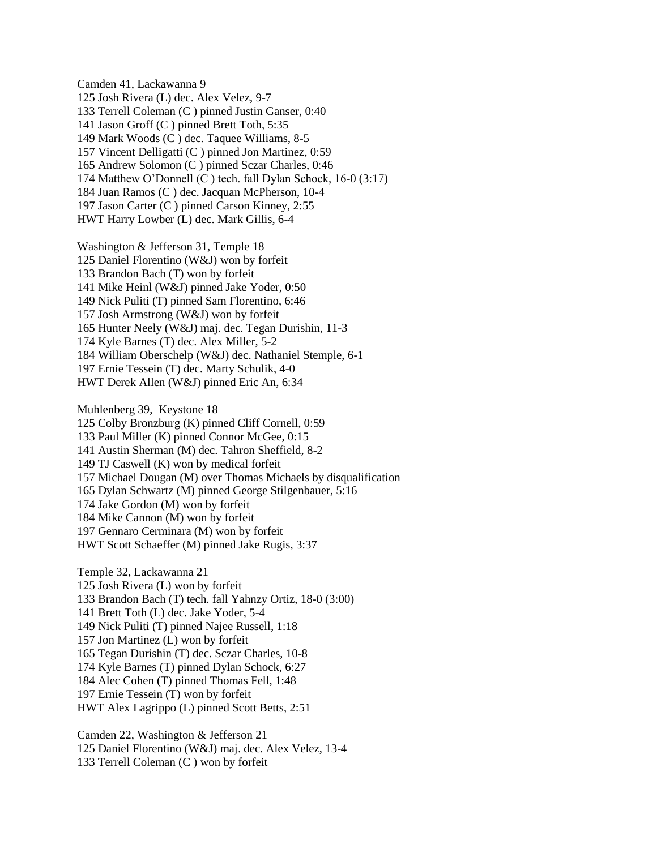Camden 41, Lackawanna 9 Josh Rivera (L) dec. Alex Velez, 9-7 Terrell Coleman (C ) pinned Justin Ganser, 0:40 141 Jason Groff (C ) pinned Brett Toth, 5:35 Mark Woods (C ) dec. Taquee Williams, 8-5 Vincent Delligatti (C ) pinned Jon Martinez, 0:59 Andrew Solomon (C ) pinned Sczar Charles, 0:46 Matthew O'Donnell (C ) tech. fall Dylan Schock, 16-0 (3:17) Juan Ramos (C ) dec. Jacquan McPherson, 10-4 Jason Carter (C ) pinned Carson Kinney, 2:55 HWT Harry Lowber (L) dec. Mark Gillis, 6-4

Washington & Jefferson 31, Temple 18 Daniel Florentino (W&J) won by forfeit Brandon Bach (T) won by forfeit 141 Mike Heinl (W&J) pinned Jake Yoder, 0:50 149 Nick Puliti (T) pinned Sam Florentino, 6:46 Josh Armstrong (W&J) won by forfeit 165 Hunter Neely (W&J) maj. dec. Tegan Durishin, 11-3 Kyle Barnes (T) dec. Alex Miller, 5-2 William Oberschelp (W&J) dec. Nathaniel Stemple, 6-1 Ernie Tessein (T) dec. Marty Schulik, 4-0 HWT Derek Allen (W&J) pinned Eric An, 6:34

Muhlenberg 39, Keystone 18 Colby Bronzburg (K) pinned Cliff Cornell, 0:59 Paul Miller (K) pinned Connor McGee, 0:15 Austin Sherman (M) dec. Tahron Sheffield, 8-2 TJ Caswell (K) won by medical forfeit Michael Dougan (M) over Thomas Michaels by disqualification Dylan Schwartz (M) pinned George Stilgenbauer, 5:16 Jake Gordon (M) won by forfeit Mike Cannon (M) won by forfeit Gennaro Cerminara (M) won by forfeit HWT Scott Schaeffer (M) pinned Jake Rugis, 3:37

Temple 32, Lackawanna 21 Josh Rivera (L) won by forfeit Brandon Bach (T) tech. fall Yahnzy Ortiz, 18-0 (3:00) Brett Toth (L) dec. Jake Yoder, 5-4 Nick Puliti (T) pinned Najee Russell, 1:18 157 Jon Martinez (L) won by forfeit Tegan Durishin (T) dec. Sczar Charles, 10-8 Kyle Barnes (T) pinned Dylan Schock, 6:27 Alec Cohen (T) pinned Thomas Fell, 1:48 Ernie Tessein (T) won by forfeit HWT Alex Lagrippo (L) pinned Scott Betts, 2:51

Camden 22, Washington & Jefferson 21 Daniel Florentino (W&J) maj. dec. Alex Velez, 13-4 Terrell Coleman (C ) won by forfeit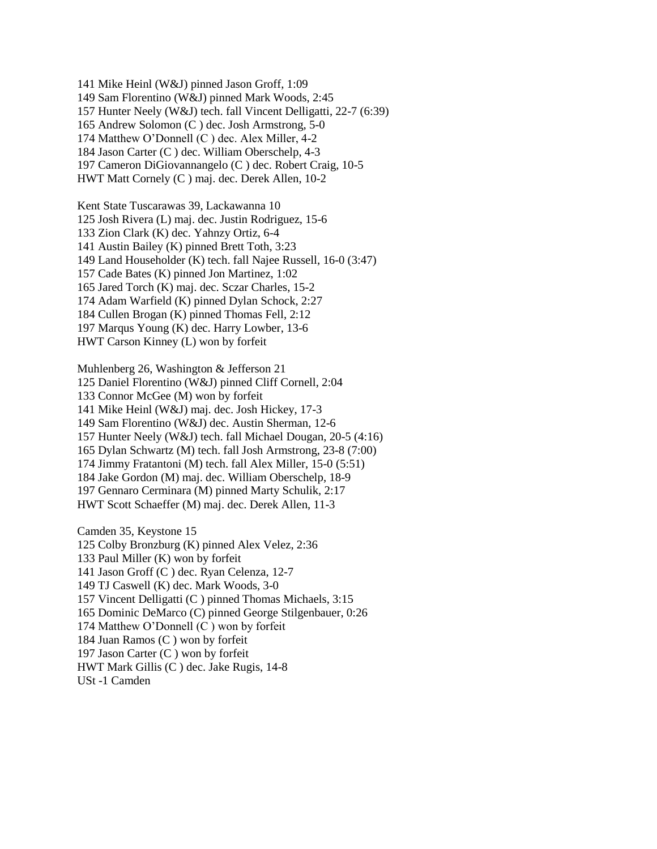Mike Heinl (W&J) pinned Jason Groff, 1:09 Sam Florentino (W&J) pinned Mark Woods, 2:45 Hunter Neely (W&J) tech. fall Vincent Delligatti, 22-7 (6:39) Andrew Solomon (C ) dec. Josh Armstrong, 5-0 Matthew O'Donnell (C ) dec. Alex Miller, 4-2 Jason Carter (C ) dec. William Oberschelp, 4-3 Cameron DiGiovannangelo (C ) dec. Robert Craig, 10-5 HWT Matt Cornely (C ) maj. dec. Derek Allen, 10-2

Kent State Tuscarawas 39, Lackawanna 10 125 Josh Rivera (L) maj. dec. Justin Rodriguez, 15-6 133 Zion Clark (K) dec. Yahnzy Ortiz, 6-4 141 Austin Bailey (K) pinned Brett Toth, 3:23 149 Land Householder (K) tech. fall Najee Russell, 16-0 (3:47) 157 Cade Bates (K) pinned Jon Martinez, 1:02 Jared Torch (K) maj. dec. Sczar Charles, 15-2 Adam Warfield (K) pinned Dylan Schock, 2:27 Cullen Brogan (K) pinned Thomas Fell, 2:12 Marqus Young (K) dec. Harry Lowber, 13-6 HWT Carson Kinney (L) won by forfeit

Muhlenberg 26, Washington & Jefferson 21 Daniel Florentino (W&J) pinned Cliff Cornell, 2:04 133 Connor McGee (M) won by forfeit 141 Mike Heinl (W&J) maj. dec. Josh Hickey, 17-3 Sam Florentino (W&J) dec. Austin Sherman, 12-6 Hunter Neely (W&J) tech. fall Michael Dougan, 20-5 (4:16) Dylan Schwartz (M) tech. fall Josh Armstrong, 23-8 (7:00) Jimmy Fratantoni (M) tech. fall Alex Miller, 15-0 (5:51) Jake Gordon (M) maj. dec. William Oberschelp, 18-9 Gennaro Cerminara (M) pinned Marty Schulik, 2:17 HWT Scott Schaeffer (M) maj. dec. Derek Allen, 11-3

Camden 35, Keystone 15 Colby Bronzburg (K) pinned Alex Velez, 2:36 Paul Miller (K) won by forfeit Jason Groff (C ) dec. Ryan Celenza, 12-7 TJ Caswell (K) dec. Mark Woods, 3-0 Vincent Delligatti (C ) pinned Thomas Michaels, 3:15 Dominic DeMarco (C) pinned George Stilgenbauer, 0:26 Matthew O'Donnell (C ) won by forfeit Juan Ramos (C ) won by forfeit Jason Carter (C ) won by forfeit HWT Mark Gillis (C ) dec. Jake Rugis, 14-8 USt -1 Camden